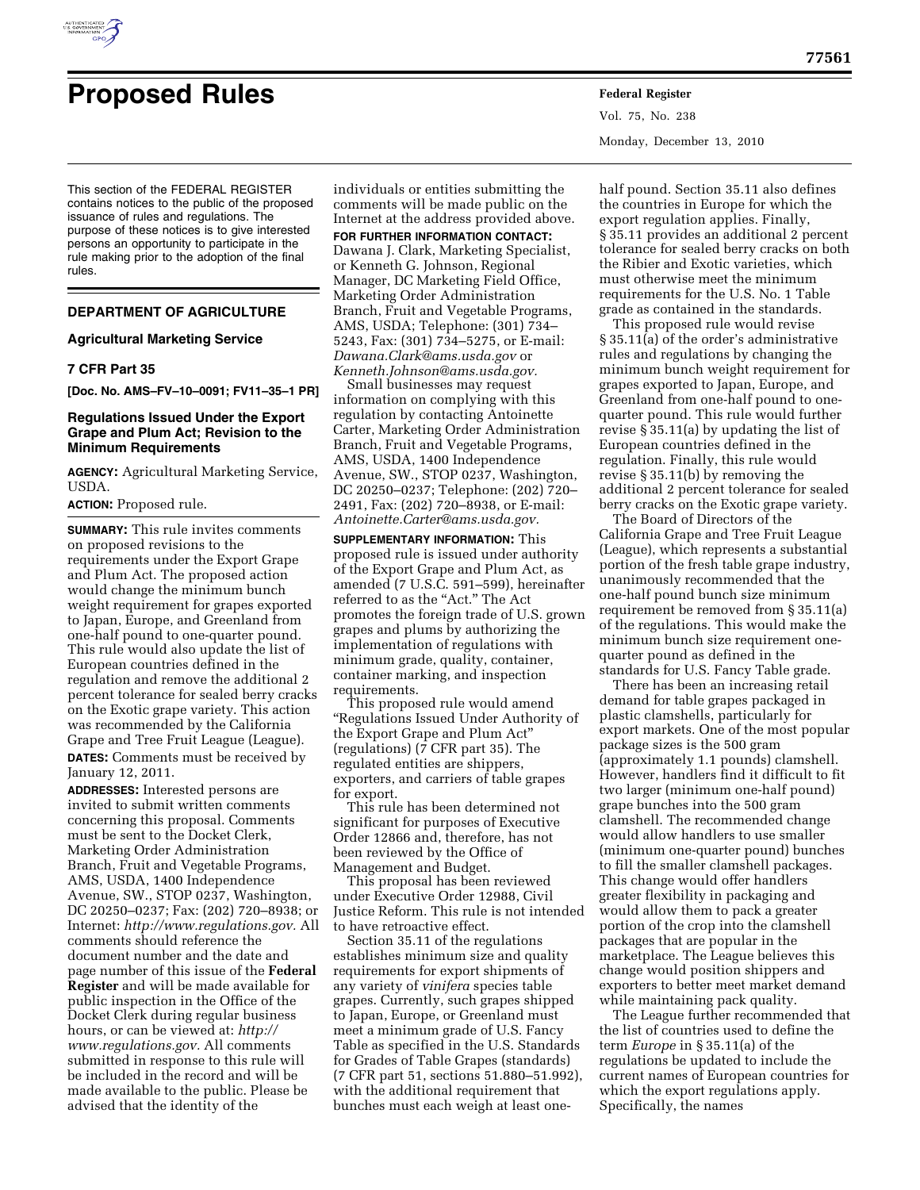

# **Proposed Rules Federal Register**

This section of the FEDERAL REGISTER contains notices to the public of the proposed issuance of rules and regulations. The purpose of these notices is to give interested persons an opportunity to participate in the rule making prior to the adoption of the final

# **DEPARTMENT OF AGRICULTURE**

## **Agricultural Marketing Service**

## **7 CFR Part 35**

rules.

**[Doc. No. AMS–FV–10–0091; FV11–35–1 PR]** 

# **Regulations Issued Under the Export Grape and Plum Act; Revision to the Minimum Requirements**

**AGENCY:** Agricultural Marketing Service, USDA.

# **ACTION:** Proposed rule.

**SUMMARY:** This rule invites comments on proposed revisions to the requirements under the Export Grape and Plum Act. The proposed action would change the minimum bunch weight requirement for grapes exported to Japan, Europe, and Greenland from one-half pound to one-quarter pound. This rule would also update the list of European countries defined in the regulation and remove the additional 2 percent tolerance for sealed berry cracks on the Exotic grape variety. This action was recommended by the California Grape and Tree Fruit League (League). **DATES:** Comments must be received by January 12, 2011.

**ADDRESSES:** Interested persons are invited to submit written comments concerning this proposal. Comments must be sent to the Docket Clerk, Marketing Order Administration Branch, Fruit and Vegetable Programs, AMS, USDA, 1400 Independence Avenue, SW., STOP 0237, Washington, DC 20250–0237; Fax: (202) 720–8938; or Internet: *[http://www.regulations.gov.](http://www.regulations.gov)* All comments should reference the document number and the date and page number of this issue of the **Federal Register** and will be made available for public inspection in the Office of the Docket Clerk during regular business hours, or can be viewed at: *[http://](http://www.regulations.gov)  [www.regulations.gov.](http://www.regulations.gov)* All comments submitted in response to this rule will be included in the record and will be made available to the public. Please be advised that the identity of the

individuals or entities submitting the comments will be made public on the Internet at the address provided above.

**FOR FURTHER INFORMATION CONTACT:** 

Dawana J. Clark, Marketing Specialist, or Kenneth G. Johnson, Regional Manager, DC Marketing Field Office, Marketing Order Administration Branch, Fruit and Vegetable Programs, AMS, USDA; Telephone: (301) 734– 5243, Fax: (301) 734–5275, or E-mail: *[Dawana.Clark@ams.usda.gov](mailto:Dawana.Clark@ams.usda.gov)* or *[Kenneth.Johnson@ams.usda.gov.](mailto:Kenneth.Johnson@ams.usda.gov)* 

Small businesses may request information on complying with this regulation by contacting Antoinette Carter, Marketing Order Administration Branch, Fruit and Vegetable Programs, AMS, USDA, 1400 Independence Avenue, SW., STOP 0237, Washington, DC 20250–0237; Telephone: (202) 720– 2491, Fax: (202) 720–8938, or E-mail: *[Antoinette.Carter@ams.usda.gov.](mailto:Antoinette.Carter@ams.usda.gov)* 

**SUPPLEMENTARY INFORMATION:** This proposed rule is issued under authority of the Export Grape and Plum Act, as amended (7 U.S.C. 591–599), hereinafter referred to as the "Act." The Act promotes the foreign trade of U.S. grown grapes and plums by authorizing the implementation of regulations with minimum grade, quality, container, container marking, and inspection requirements.

This proposed rule would amend ''Regulations Issued Under Authority of the Export Grape and Plum Act'' (regulations) (7 CFR part 35). The regulated entities are shippers, exporters, and carriers of table grapes for export.

This rule has been determined not significant for purposes of Executive Order 12866 and, therefore, has not been reviewed by the Office of Management and Budget.

This proposal has been reviewed under Executive Order 12988, Civil Justice Reform. This rule is not intended to have retroactive effect.

Section 35.11 of the regulations establishes minimum size and quality requirements for export shipments of any variety of *vinifera* species table grapes. Currently, such grapes shipped to Japan, Europe, or Greenland must meet a minimum grade of U.S. Fancy Table as specified in the U.S. Standards for Grades of Table Grapes (standards) (7 CFR part 51, sections 51.880–51.992), with the additional requirement that bunches must each weigh at least oneVol. 75, No. 238 Monday, December 13, 2010

half pound. Section 35.11 also defines the countries in Europe for which the export regulation applies. Finally, § 35.11 provides an additional 2 percent tolerance for sealed berry cracks on both the Ribier and Exotic varieties, which must otherwise meet the minimum requirements for the U.S. No. 1 Table grade as contained in the standards.

This proposed rule would revise § 35.11(a) of the order's administrative rules and regulations by changing the minimum bunch weight requirement for grapes exported to Japan, Europe, and Greenland from one-half pound to onequarter pound. This rule would further revise § 35.11(a) by updating the list of European countries defined in the regulation. Finally, this rule would revise § 35.11(b) by removing the additional 2 percent tolerance for sealed berry cracks on the Exotic grape variety.

The Board of Directors of the California Grape and Tree Fruit League (League), which represents a substantial portion of the fresh table grape industry, unanimously recommended that the one-half pound bunch size minimum requirement be removed from § 35.11(a) of the regulations. This would make the minimum bunch size requirement onequarter pound as defined in the standards for U.S. Fancy Table grade.

There has been an increasing retail demand for table grapes packaged in plastic clamshells, particularly for export markets. One of the most popular package sizes is the 500 gram (approximately 1.1 pounds) clamshell. However, handlers find it difficult to fit two larger (minimum one-half pound) grape bunches into the 500 gram clamshell. The recommended change would allow handlers to use smaller (minimum one-quarter pound) bunches to fill the smaller clamshell packages. This change would offer handlers greater flexibility in packaging and would allow them to pack a greater portion of the crop into the clamshell packages that are popular in the marketplace. The League believes this change would position shippers and exporters to better meet market demand while maintaining pack quality.

The League further recommended that the list of countries used to define the term *Europe* in § 35.11(a) of the regulations be updated to include the current names of European countries for which the export regulations apply. Specifically, the names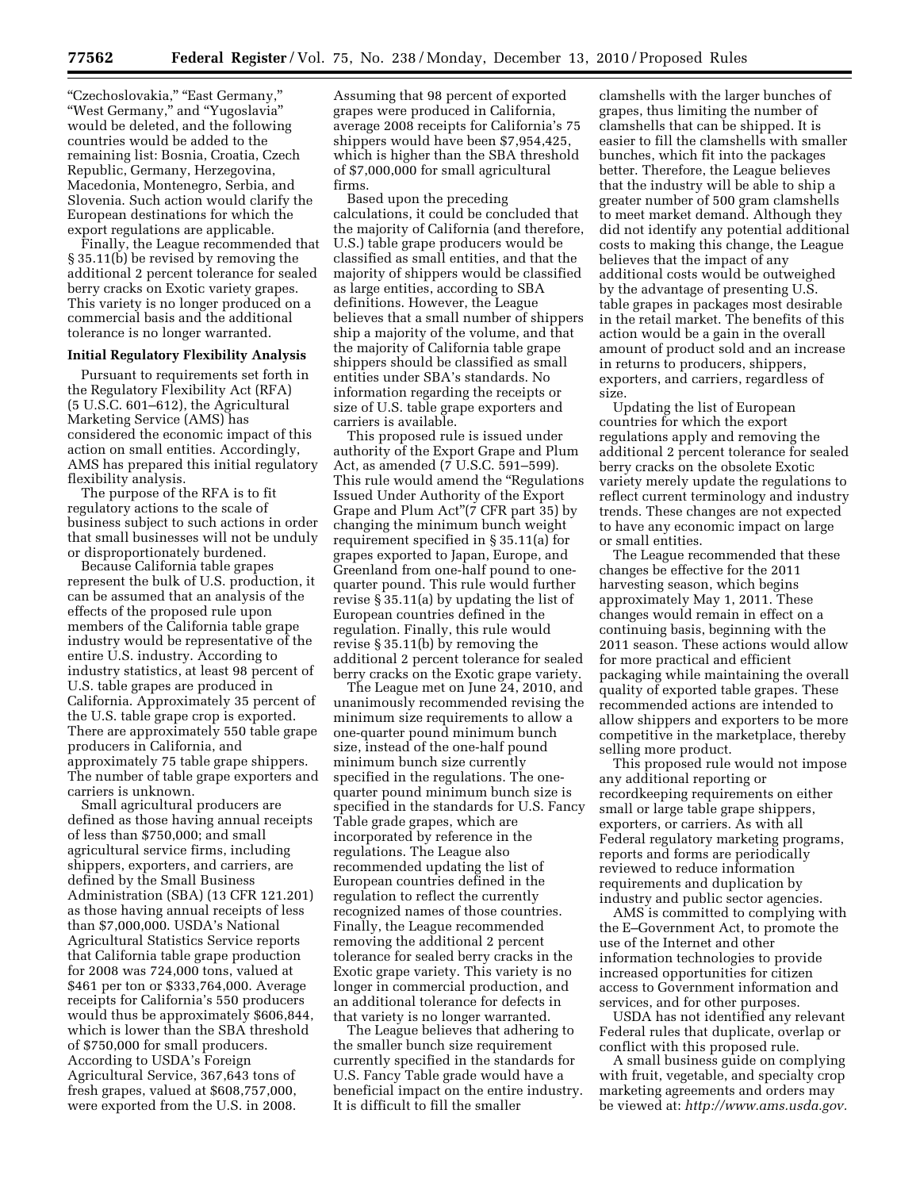''Czechoslovakia,'' ''East Germany,'' ''West Germany,'' and ''Yugoslavia'' would be deleted, and the following countries would be added to the remaining list: Bosnia, Croatia, Czech Republic, Germany, Herzegovina, Macedonia, Montenegro, Serbia, and Slovenia. Such action would clarify the European destinations for which the export regulations are applicable.

Finally, the League recommended that § 35.11(b) be revised by removing the additional 2 percent tolerance for sealed berry cracks on Exotic variety grapes. This variety is no longer produced on a commercial basis and the additional tolerance is no longer warranted.

# **Initial Regulatory Flexibility Analysis**

Pursuant to requirements set forth in the Regulatory Flexibility Act (RFA) (5 U.S.C. 601–612), the Agricultural Marketing Service (AMS) has considered the economic impact of this action on small entities. Accordingly, AMS has prepared this initial regulatory flexibility analysis.

The purpose of the RFA is to fit regulatory actions to the scale of business subject to such actions in order that small businesses will not be unduly or disproportionately burdened.

Because California table grapes represent the bulk of U.S. production, it can be assumed that an analysis of the effects of the proposed rule upon members of the California table grape industry would be representative of the entire U.S. industry. According to industry statistics, at least 98 percent of U.S. table grapes are produced in California. Approximately 35 percent of the U.S. table grape crop is exported. There are approximately 550 table grape producers in California, and approximately 75 table grape shippers. The number of table grape exporters and carriers is unknown.

Small agricultural producers are defined as those having annual receipts of less than \$750,000; and small agricultural service firms, including shippers, exporters, and carriers, are defined by the Small Business Administration (SBA) (13 CFR 121.201) as those having annual receipts of less than \$7,000,000. USDA's National Agricultural Statistics Service reports that California table grape production for 2008 was 724,000 tons, valued at \$461 per ton or \$333,764,000. Average receipts for California's 550 producers would thus be approximately \$606,844, which is lower than the SBA threshold of \$750,000 for small producers. According to USDA's Foreign Agricultural Service, 367,643 tons of fresh grapes, valued at \$608,757,000, were exported from the U.S. in 2008.

Assuming that 98 percent of exported grapes were produced in California, average 2008 receipts for California's 75 shippers would have been \$7,954,425, which is higher than the SBA threshold of \$7,000,000 for small agricultural firms.

Based upon the preceding calculations, it could be concluded that the majority of California (and therefore, U.S.) table grape producers would be classified as small entities, and that the majority of shippers would be classified as large entities, according to SBA definitions. However, the League believes that a small number of shippers ship a majority of the volume, and that the majority of California table grape shippers should be classified as small entities under SBA's standards. No information regarding the receipts or size of U.S. table grape exporters and carriers is available.

This proposed rule is issued under authority of the Export Grape and Plum Act, as amended (7 U.S.C. 591–599). This rule would amend the ''Regulations Issued Under Authority of the Export Grape and Plum Act''(7 CFR part 35) by changing the minimum bunch weight requirement specified in § 35.11(a) for grapes exported to Japan, Europe, and Greenland from one-half pound to onequarter pound. This rule would further revise § 35.11(a) by updating the list of European countries defined in the regulation. Finally, this rule would revise § 35.11(b) by removing the additional 2 percent tolerance for sealed berry cracks on the Exotic grape variety.

The League met on June 24, 2010, and unanimously recommended revising the minimum size requirements to allow a one-quarter pound minimum bunch size, instead of the one-half pound minimum bunch size currently specified in the regulations. The onequarter pound minimum bunch size is specified in the standards for U.S. Fancy Table grade grapes, which are incorporated by reference in the regulations. The League also recommended updating the list of European countries defined in the regulation to reflect the currently recognized names of those countries. Finally, the League recommended removing the additional 2 percent tolerance for sealed berry cracks in the Exotic grape variety. This variety is no longer in commercial production, and an additional tolerance for defects in that variety is no longer warranted.

The League believes that adhering to the smaller bunch size requirement currently specified in the standards for U.S. Fancy Table grade would have a beneficial impact on the entire industry. It is difficult to fill the smaller

clamshells with the larger bunches of grapes, thus limiting the number of clamshells that can be shipped. It is easier to fill the clamshells with smaller bunches, which fit into the packages better. Therefore, the League believes that the industry will be able to ship a greater number of 500 gram clamshells to meet market demand. Although they did not identify any potential additional costs to making this change, the League believes that the impact of any additional costs would be outweighed by the advantage of presenting U.S. table grapes in packages most desirable in the retail market. The benefits of this action would be a gain in the overall amount of product sold and an increase in returns to producers, shippers, exporters, and carriers, regardless of size.

Updating the list of European countries for which the export regulations apply and removing the additional 2 percent tolerance for sealed berry cracks on the obsolete Exotic variety merely update the regulations to reflect current terminology and industry trends. These changes are not expected to have any economic impact on large or small entities.

The League recommended that these changes be effective for the 2011 harvesting season, which begins approximately May 1, 2011. These changes would remain in effect on a continuing basis, beginning with the 2011 season. These actions would allow for more practical and efficient packaging while maintaining the overall quality of exported table grapes. These recommended actions are intended to allow shippers and exporters to be more competitive in the marketplace, thereby selling more product.

This proposed rule would not impose any additional reporting or recordkeeping requirements on either small or large table grape shippers, exporters, or carriers. As with all Federal regulatory marketing programs, reports and forms are periodically reviewed to reduce information requirements and duplication by industry and public sector agencies.

AMS is committed to complying with the E–Government Act, to promote the use of the Internet and other information technologies to provide increased opportunities for citizen access to Government information and services, and for other purposes.

USDA has not identified any relevant Federal rules that duplicate, overlap or conflict with this proposed rule.

A small business guide on complying with fruit, vegetable, and specialty crop marketing agreements and orders may be viewed at: *[http://www.ams.usda.gov.](http://www.ams.usda.gov)*